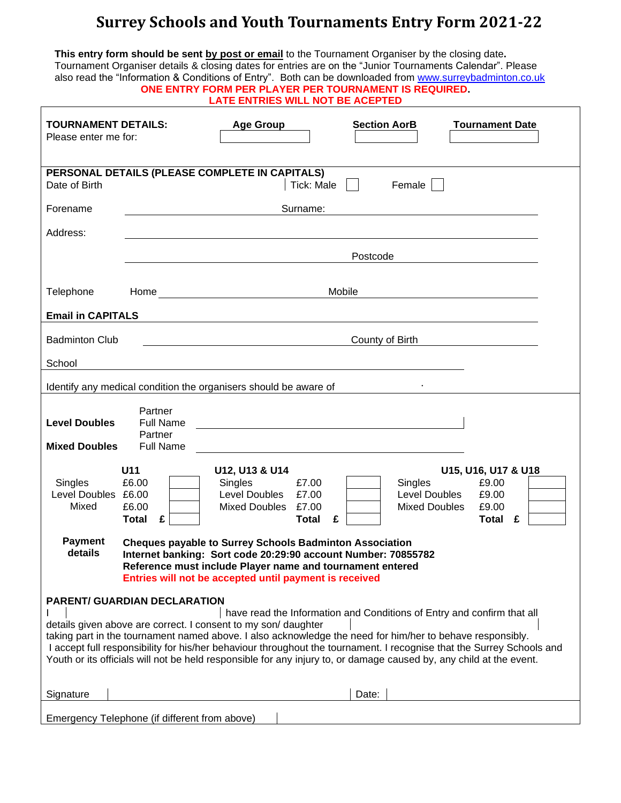## **Surrey Schools and Youth Tournaments Entry Form 2021-22**

| This entry form should be sent by post or email to the Tournament Organiser by the closing date.<br>Tournament Organiser details & closing dates for entries are on the "Junior Tournaments Calendar". Please<br>also read the "Information & Conditions of Entry". Both can be downloaded from www.surreybadminton.co.uk<br>ONE ENTRY FORM PER PLAYER PER TOURNAMENT IS REQUIRED.<br><b>LATE ENTRIES WILL NOT BE ACEPTED</b>                                                                                                                                                                                                                                                                                                                                                        |                                                                  |                  |  |                     |                        |
|--------------------------------------------------------------------------------------------------------------------------------------------------------------------------------------------------------------------------------------------------------------------------------------------------------------------------------------------------------------------------------------------------------------------------------------------------------------------------------------------------------------------------------------------------------------------------------------------------------------------------------------------------------------------------------------------------------------------------------------------------------------------------------------|------------------------------------------------------------------|------------------|--|---------------------|------------------------|
| <b>TOURNAMENT DETAILS:</b><br>Please enter me for:                                                                                                                                                                                                                                                                                                                                                                                                                                                                                                                                                                                                                                                                                                                                   |                                                                  | <b>Age Group</b> |  | <b>Section AorB</b> | <b>Tournament Date</b> |
| PERSONAL DETAILS (PLEASE COMPLETE IN CAPITALS)<br>Date of Birth<br>Tick: Male<br>Female                                                                                                                                                                                                                                                                                                                                                                                                                                                                                                                                                                                                                                                                                              |                                                                  |                  |  |                     |                        |
| Forename                                                                                                                                                                                                                                                                                                                                                                                                                                                                                                                                                                                                                                                                                                                                                                             | Surname:<br><u> 1989 - Johann Barbara, politik eta politikar</u> |                  |  |                     |                        |
| Address:                                                                                                                                                                                                                                                                                                                                                                                                                                                                                                                                                                                                                                                                                                                                                                             |                                                                  |                  |  |                     |                        |
|                                                                                                                                                                                                                                                                                                                                                                                                                                                                                                                                                                                                                                                                                                                                                                                      | Postcode                                                         |                  |  |                     |                        |
| Telephone                                                                                                                                                                                                                                                                                                                                                                                                                                                                                                                                                                                                                                                                                                                                                                            | Mobile                                                           |                  |  |                     |                        |
| <b>Email in CAPITALS</b>                                                                                                                                                                                                                                                                                                                                                                                                                                                                                                                                                                                                                                                                                                                                                             |                                                                  |                  |  |                     |                        |
| <b>Badminton Club</b>                                                                                                                                                                                                                                                                                                                                                                                                                                                                                                                                                                                                                                                                                                                                                                | County of Birth                                                  |                  |  |                     |                        |
| School                                                                                                                                                                                                                                                                                                                                                                                                                                                                                                                                                                                                                                                                                                                                                                               |                                                                  |                  |  |                     |                        |
| Identify any medical condition the organisers should be aware of                                                                                                                                                                                                                                                                                                                                                                                                                                                                                                                                                                                                                                                                                                                     |                                                                  |                  |  |                     |                        |
| <b>Level Doubles</b><br><b>Mixed Doubles</b>                                                                                                                                                                                                                                                                                                                                                                                                                                                                                                                                                                                                                                                                                                                                         | Partner<br><b>Full Name</b><br>Partner<br><b>Full Name</b>       |                  |  |                     |                        |
| U11<br>U12, U13 & U14<br>U15, U16, U17 & U18<br>£6.00<br>Singles<br>£7.00<br>£9.00<br>Singles<br>Singles<br>Level Doubles £6.00<br>Level Doubles<br>£7.00<br>Level Doubles<br>£9.00<br>Mixed<br>Mixed Doubles £7.00<br>£6.00<br><b>Mixed Doubles</b><br>£9.00<br>Total £<br><b>Total</b><br>£<br>Total<br>£<br><b>Payment</b><br><b>Cheques payable to Surrey Schools Badminton Association</b><br>details<br>Internet banking: Sort code 20:29:90 account Number: 70855782<br>Reference must include Player name and tournament entered<br>Entries will not be accepted until payment is received<br><b>PARENT/ GUARDIAN DECLARATION</b><br>have read the Information and Conditions of Entry and confirm that all<br>details given above are correct. I consent to my son/daughter |                                                                  |                  |  |                     |                        |
| taking part in the tournament named above. I also acknowledge the need for him/her to behave responsibly.<br>I accept full responsibility for his/her behaviour throughout the tournament. I recognise that the Surrey Schools and<br>Youth or its officials will not be held responsible for any injury to, or damage caused by, any child at the event.<br>Date:<br>Signature                                                                                                                                                                                                                                                                                                                                                                                                      |                                                                  |                  |  |                     |                        |
|                                                                                                                                                                                                                                                                                                                                                                                                                                                                                                                                                                                                                                                                                                                                                                                      | Emergency Telephone (if different from above)                    |                  |  |                     |                        |